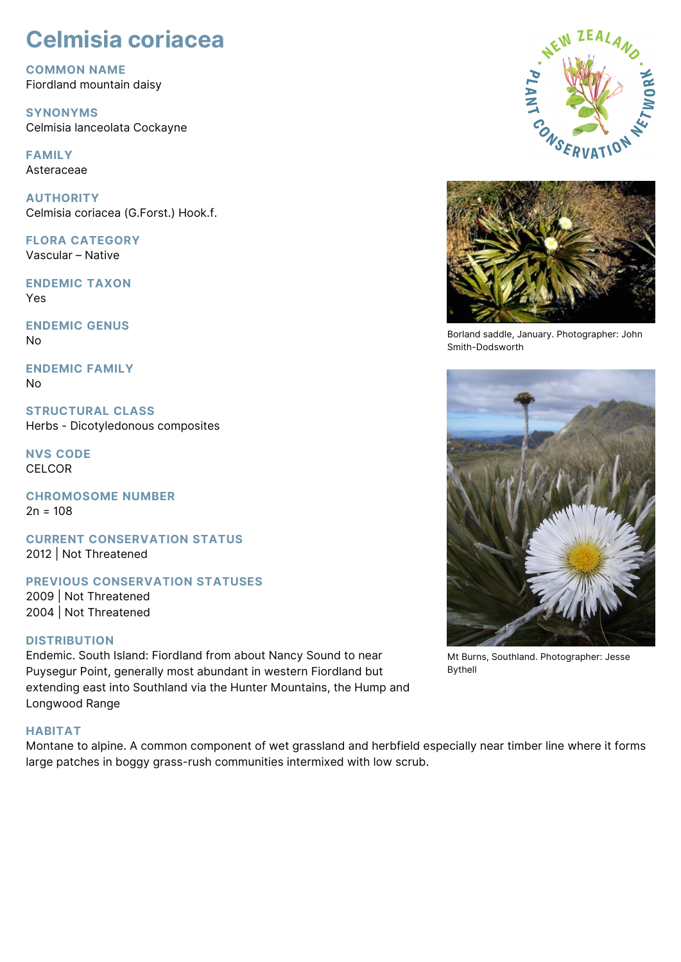# **Celmisia coriacea**

**COMMON NAME** Fiordland mountain daisy

**SYNONYMS** Celmisia lanceolata Cockayne

**FAMILY** Asteraceae

**AUTHORITY** Celmisia coriacea (G.Forst.) Hook.f.

**FLORA CATEGORY** Vascular – Native

**ENDEMIC TAXON** Yes

**ENDEMIC GENUS** No

**ENDEMIC FAMILY** No

**STRUCTURAL CLASS** Herbs - Dicotyledonous composites

**NVS CODE CELCOR** 

**CHROMOSOME NUMBER**  $2n = 108$ 

**CURRENT CONSERVATION STATUS** 2012 | Not Threatened

**PREVIOUS CONSERVATION STATUSES** 2009 | Not Threatened

2004 | Not Threatened

## **DISTRIBUTION**

Endemic. South Island: Fiordland from about Nancy Sound to near Puysegur Point, generally most abundant in western Fiordland but extending east into Southland via the Hunter Mountains, the Hump and Longwood Range

## **HABITAT**

Montane to alpine. A common component of wet grassland and herbfield especially near timber line where it forms large patches in boggy grass-rush communities intermixed with low scrub.





Borland saddle, January. Photographer: John Smith-Dodsworth



Mt Burns, Southland. Photographer: Jesse Bythell